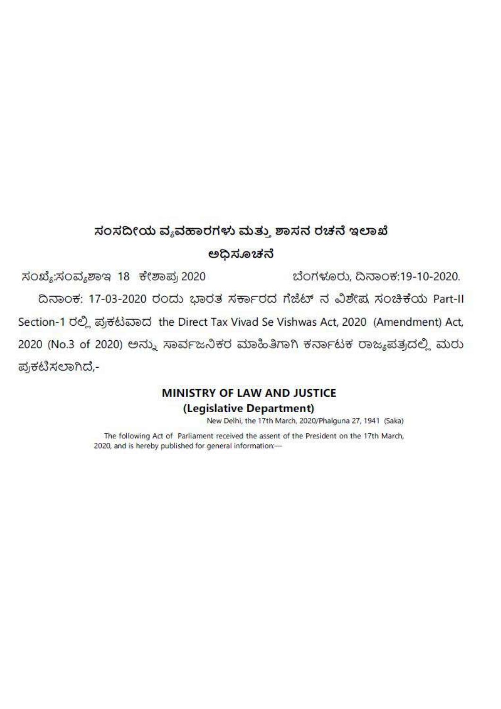# ಸಂಸದೀಯ ವ್ಯವಹಾರಗಳು ಮತ್ತು ಶಾಸನ ರಚನೆ ಇಲಾಖೆ

## ಅಧಿಸೂಚನೆ

ಸಂಖ್ಯೆ:ಸಂವ್ಯಶಾಇ 18 ಕೇಶಾಪ್ರ 2020 ಬೆಂಗಳೂರು, ದಿನಾಂಕ:19-10-2020.

ದಿನಾಂಕ: 17-03-2020 ರಂದು ಭಾರತ ಸರ್ಕಾರದ ಗೆಜೆಟ್ ನ ವಿಶೇಷ ಸಂಚಿಕೆಯ Part-II Section-1 ರಲ್ಲಿ ಪ್ರಕಟವಾದ the Direct Tax Vivad Se Vishwas Act, 2020 (Amendment) Act, 2020 (No.3 of 2020) ಅನ್ನು ಸಾರ್ವಜನಿಕರ ಮಾಹಿತಿಗಾಗಿ ಕರ್ನಾಟಕ ರಾಜ್ಯಪತ್ರದಲ್ಲಿ ಮರು ಪ್ರಕಟಿಸಲಾಗಿದೆ,-

# **MINISTRY OF LAW AND JUSTICE** (Legislative Department)

New Delhi, the 17th March, 2020/Phalguna 27, 1941 (Saka)

The following Act of Parliament received the assent of the President on the 17th March, 2020, and is hereby published for general information:-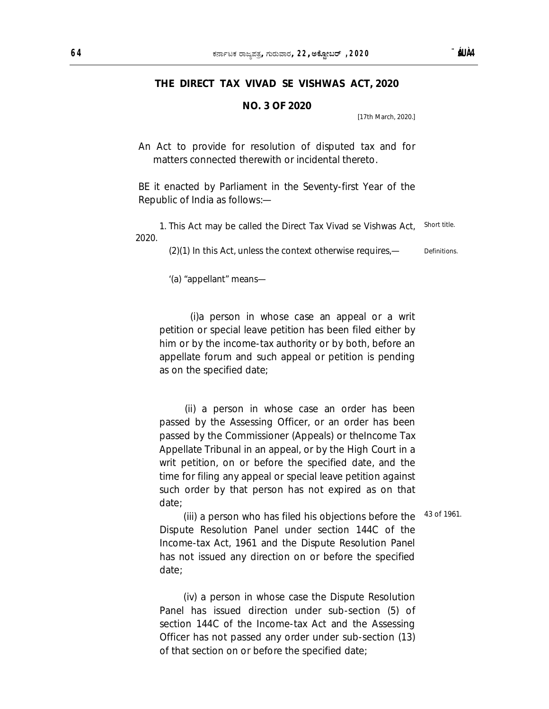### **THE DIRECT TAX VIVAD SE VISHWAS ACT, 2020**

### **NO. 3 OF 2020**

[17th March, 2020.]

An Act to provide for resolution of disputed tax and for matters connected therewith or incidental thereto.

BE it enacted by Parliament in the Seventy-first Year of the Republic of India as follows:—

1. This Act may be called the Direct Tax Vivad se Vishwas Act, 2020. Short title.

> (2)(1) In this Act, unless the context otherwise requires,— **Definitions**

'(a) "appellant" means—

 (i)a person in whose case an appeal or a writ petition or special leave petition has been filed either by him or by the income-tax authority or by both, before an appellate forum and such appeal or petition is pending as on the specified date;

 (ii) a person in whose case an order has been passed by the Assessing Officer, or an order has been passed by the Commissioner (Appeals) or theIncome Tax Appellate Tribunal in an appeal, or by the High Court in a writ petition, on or before the specified date, and the time for filing any appeal or special leave petition against such order by that person has not expired as on that date;

43 of 1961.

(iii) a person who has filed his objections before the Dispute Resolution Panel under section 144C of the Income-tax Act, 1961 and the Dispute Resolution Panel has not issued any direction on or before the specified date;

(iv) a person in whose case the Dispute Resolution Panel has issued direction under sub-section (5) of section 144C of the Income-tax Act and the Assessing Officer has not passed any order under sub-section (13) of that section on or before the specified date;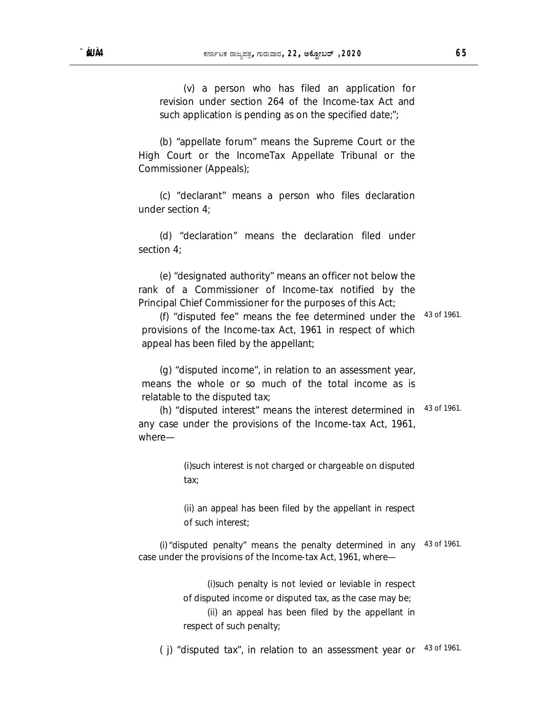(v) a person who has filed an application for revision under section 264 of the Income-tax Act and such application is pending as on the specified date;";

(b) "appellate forum" means the Supreme Court or the High Court or the IncomeTax Appellate Tribunal or the Commissioner (Appeals);

(c) "declarant" means a person who files declaration under section 4;

(d) "declaration" means the declaration filed under section 4;

(e) "designated authority" means an officer not below the rank of a Commissioner of Income-tax notified by the Principal Chief Commissioner for the purposes of this Act;

(f) "disputed fee" means the fee determined under the provisions of the Income-tax Act, 1961 in respect of which appeal has been filed by the appellant; 43 of 1961.

(g) "disputed income", in relation to an assessment year, means the whole or so much of the total income as is relatable to the disputed tax;

(h) "disputed interest" means the interest determined in any case under the provisions of the Income-tax Act, 1961, where— 43 of 1961.

> (i)such interest is not charged or chargeable on disputed tax;

> (ii) an appeal has been filed by the appellant in respect of such interest;

(i)"disputed penalty" means the penalty determined in any 43 of 1961. case under the provisions of the Income-tax Act, 1961, where—

> (i)such penalty is not levied or leviable in respect of disputed income or disputed tax, as the case may be;

> (ii) an appeal has been filed by the appellant in respect of such penalty;

( j) "disputed tax", in relation to an assessment year or 43 of 1961.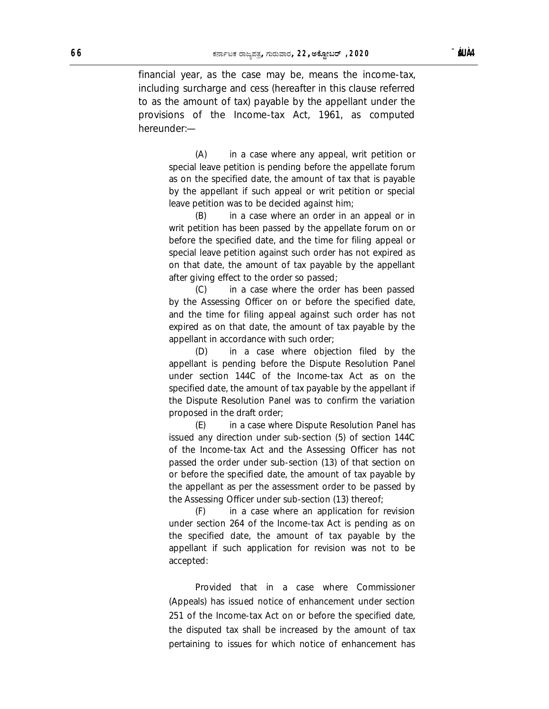financial year, as the case may be, means the income-tax, including surcharge and cess (hereafter in this clause referred to as the amount of tax) payable by the appellant under the provisions of the Income-tax Act, 1961, as computed hereunder:—

> (A) in a case where any appeal, writ petition or special leave petition is pending before the appellate forum as on the specified date, the amount of tax that is payable by the appellant if such appeal or writ petition or special leave petition was to be decided against him;

> (B) in a case where an order in an appeal or in writ petition has been passed by the appellate forum on or before the specified date, and the time for filing appeal or special leave petition against such order has not expired as on that date, the amount of tax payable by the appellant after giving effect to the order so passed;

> (C) in a case where the order has been passed by the Assessing Officer on or before the specified date, and the time for filing appeal against such order has not expired as on that date, the amount of tax payable by the appellant in accordance with such order;

> (D) in a case where objection filed by the appellant is pending before the Dispute Resolution Panel under section 144C of the Income-tax Act as on the specified date, the amount of tax payable by the appellant if the Dispute Resolution Panel was to confirm the variation proposed in the draft order;

> (E) in a case where Dispute Resolution Panel has issued any direction under sub-section (5) of section 144C of the Income-tax Act and the Assessing Officer has not passed the order under sub-section (13) of that section on or before the specified date, the amount of tax payable by the appellant as per the assessment order to be passed by the Assessing Officer under sub-section (13) thereof;

> (F) in a case where an application for revision under section 264 of the Income-tax Act is pending as on the specified date, the amount of tax payable by the appellant if such application for revision was not to be accepted:

> Provided that in a case where Commissioner (Appeals) has issued notice of enhancement under section 251 of the Income-tax Act on or before the specified date, the disputed tax shall be increased by the amount of tax pertaining to issues for which notice of enhancement has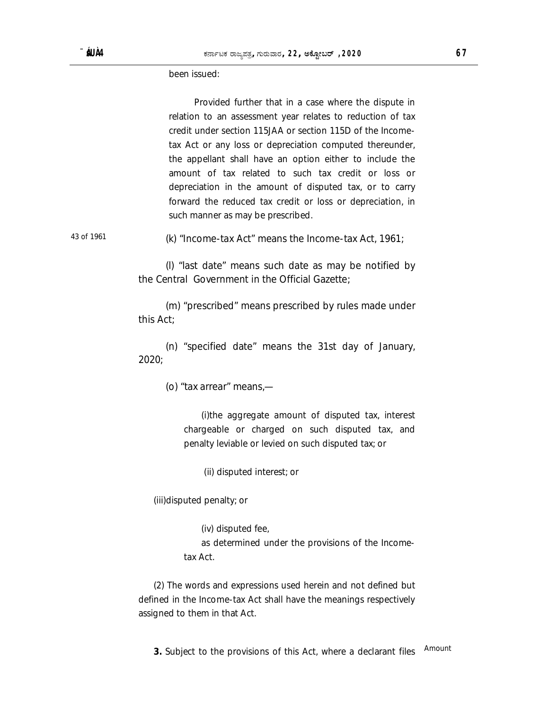been issued:

 Provided further that in a case where the dispute in relation to an assessment year relates to reduction of tax credit under section 115JAA or section 115D of the Incometax Act or any loss or depreciation computed thereunder, the appellant shall have an option either to include the amount of tax related to such tax credit or loss or depreciation in the amount of disputed tax, or to carry forward the reduced tax credit or loss or depreciation, in such manner as may be prescribed.

43 of 1961 (k) "Income-tax Act" means the Income-tax Act, 1961;

(l) "last date" means such date as may be notified by the Central Government in the Official Gazette;

(m) "prescribed" means prescribed by rules made under this Act;

(n) "specified date" means the 31st day of January, 2020;

(o) "tax arrear" means,—

(i)the aggregate amount of disputed tax, interest chargeable or charged on such disputed tax, and penalty leviable or levied on such disputed tax; or

(ii) disputed interest; or

(iii)disputed penalty; or

(iv) disputed fee, as determined under the provisions of the Incometax Act.

(2) The words and expressions used herein and not defined but defined in the Income-tax Act shall have the meanings respectively assigned to them in that Act.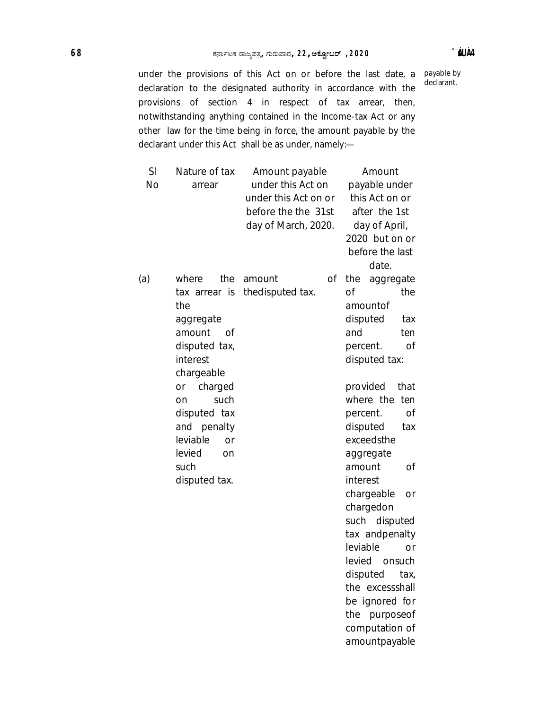under the provisions of this Act on or before the last date, a declaration to the designated authority in accordance with the provisions of section 4 in respect of tax arrear, then, notwithstanding anything contained in the Income-tax Act or any other law for the time being in force, the amount payable by the declarant under this Act shall be as under, namely: payable by declarant.

| SI        | Nature of tax  | Amount payable       |    | Amount           |           |
|-----------|----------------|----------------------|----|------------------|-----------|
| <b>No</b> | arrear         | under this Act on    |    | payable under    |           |
|           |                | under this Act on or |    | this Act on or   |           |
|           |                | before the the 31st  |    | after the 1st    |           |
|           |                | day of March, 2020.  |    | day of April,    |           |
|           |                |                      |    | 2020 but on or   |           |
|           |                |                      |    | before the last  |           |
|           |                |                      |    | date.            |           |
| (a)       | the<br>where   | amount               | Οf | the<br>aggregate |           |
|           | tax arrear is  | thedisputed tax.     |    | οf               | the       |
|           | the            |                      |    | amountof         |           |
|           | aggregate      |                      |    | disputed         | tax       |
|           | amount<br>of   |                      |    | and              | ten       |
|           | disputed tax,  |                      |    | percent.         | Οf        |
|           | interest       |                      |    | disputed tax:    |           |
|           | chargeable     |                      |    |                  |           |
|           | charged<br>or  |                      |    | provided<br>that |           |
|           | such<br>on     |                      |    | where the        | ten       |
|           | disputed tax   |                      |    | percent.         | Οf        |
|           | and penalty    |                      |    | disputed         | tax       |
|           | leviable<br>or |                      |    | exceedsthe       |           |
|           | levied<br>on   |                      |    | aggregate        |           |
|           | such           |                      |    | amount           | Οf        |
|           | disputed tax.  |                      |    | interest         |           |
|           |                |                      |    | chargeable       | or        |
|           |                |                      |    | chargedon        |           |
|           |                |                      |    | such disputed    |           |
|           |                |                      |    | tax andpenalty   |           |
|           |                |                      |    | leviable         | <b>or</b> |
|           |                |                      |    | levied<br>onsuch |           |
|           |                |                      |    | disputed<br>tax, |           |
|           |                |                      |    | the excessshall  |           |
|           |                |                      |    | be ignored for   |           |
|           |                |                      |    | the purposeof    |           |
|           |                |                      |    | computation of   |           |
|           |                |                      |    | amountpayable    |           |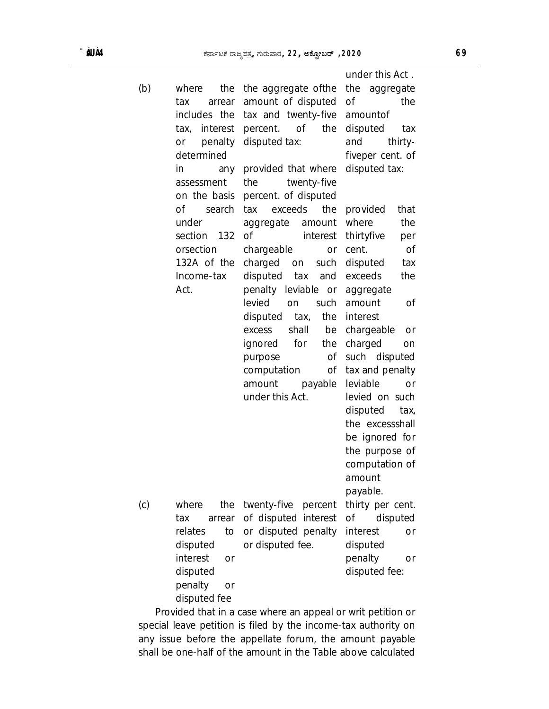|     |                       |                         | under this Act.             |
|-----|-----------------------|-------------------------|-----------------------------|
| (b) | the<br>where          | the aggregate of the    | the aggregate               |
|     | tax<br>arrear         | amount of disputed      | of<br>the                   |
|     | includes the          | tax and twenty-five     | amountof                    |
|     | tax, interest         | 0f<br>percent.<br>the   | disputed<br>tax             |
|     | penalty<br>or         | disputed tax:           | and<br>thirty-              |
|     | determined            |                         | fiveper cent. of            |
|     | in<br>any             | provided that where     | disputed tax:               |
|     | assessment            | twenty-five<br>the      |                             |
|     | on the basis          | percent. of disputed    |                             |
|     | Οf<br>search          | exceeds<br>the<br>tax   | provided<br>that            |
|     | under                 | amount<br>aggregate     | where<br>the                |
|     | section<br>- 132      | <b>of</b><br>interest   | thirtyfive<br>per           |
|     | orsection             | chargeable<br>or        | cent.<br><b>of</b>          |
|     | 132A of the           | charged<br>such<br>on   | disputed<br>tax             |
|     | Income-tax            | disputed<br>tax<br>and  | exceeds<br>the              |
|     | Act.                  | penalty leviable or     | aggregate                   |
|     |                       | levied<br>such<br>on    | amount<br>Οf                |
|     |                       | the<br>disputed<br>tax, | interest                    |
|     |                       | shall<br>be<br>excess   | chargeable<br>or            |
|     |                       | for<br>ignored<br>the   | charged                     |
|     |                       | Οf                      | on<br>such disputed         |
|     |                       | purpose                 |                             |
|     |                       | computation<br>0f       | tax and penalty<br>leviable |
|     |                       | amount<br>payable       | or                          |
|     |                       | under this Act.         | levied on such              |
|     |                       |                         | disputed<br>tax,            |
|     |                       |                         | the excessshall             |
|     |                       |                         | be ignored for              |
|     |                       |                         | the purpose of              |
|     |                       |                         | computation of              |
|     |                       |                         | amount                      |
|     |                       |                         | payable.                    |
| (c) | where<br>the          | twenty-five<br>percent  | thirty per cent.            |
|     | tax<br>arrear         | of disputed interest    | disputed<br>Οf              |
|     | relates<br>to         | or disputed penalty     | interest<br>or              |
|     | disputed              | or disputed fee.        | disputed                    |
|     | interest<br><b>or</b> |                         | penalty<br>or               |
|     | disputed              |                         | disputed fee:               |
|     | penalty<br>or         |                         |                             |
|     | disputed fee          |                         |                             |

 Provided that in a case where an appeal or writ petition or special leave petition is filed by the income-tax authority on any issue before the appellate forum, the amount payable shall be one-half of the amount in the Table above calculated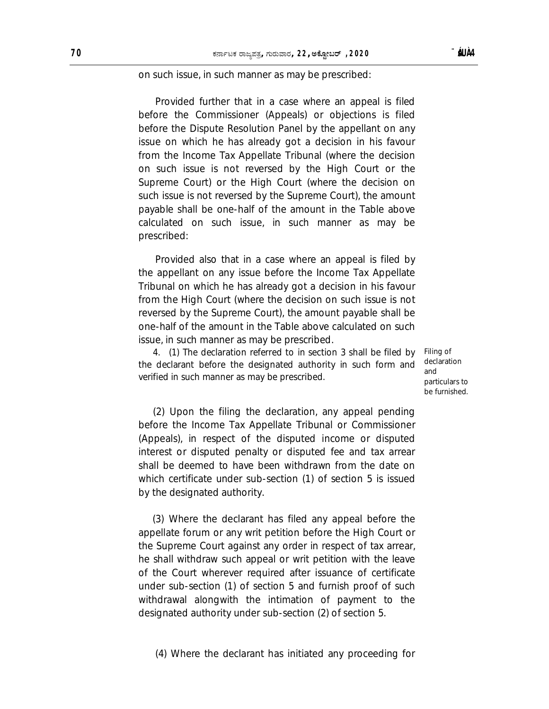#### on such issue, in such manner as may be prescribed:

 Provided further that in a case where an appeal is filed before the Commissioner (Appeals) or objections is filed before the Dispute Resolution Panel by the appellant on any issue on which he has already got a decision in his favour from the Income Tax Appellate Tribunal (where the decision on such issue is not reversed by the High Court or the Supreme Court) or the High Court (where the decision on such issue is not reversed by the Supreme Court), the amount payable shall be one-half of the amount in the Table above calculated on such issue, in such manner as may be prescribed:

 Provided also that in a case where an appeal is filed by the appellant on any issue before the Income Tax Appellate Tribunal on which he has already got a decision in his favour from the High Court (where the decision on such issue is not reversed by the Supreme Court), the amount payable shall be one-half of the amount in the Table above calculated on such issue, in such manner as may be prescribed.

4. (1) The declaration referred to in section 3 shall be filed by the declarant before the designated authority in such form and verified in such manner as may be prescribed.

Filing of declaration and particulars to be furnished.

(2) Upon the filing the declaration, any appeal pending before the Income Tax Appellate Tribunal or Commissioner (Appeals), in respect of the disputed income or disputed interest or disputed penalty or disputed fee and tax arrear shall be deemed to have been withdrawn from the date on which certificate under sub-section (1) of section 5 is issued by the designated authority.

 (3) Where the declarant has filed any appeal before the appellate forum or any writ petition before the High Court or the Supreme Court against any order in respect of tax arrear, he shall withdraw such appeal or writ petition with the leave of the Court wherever required after issuance of certificate under sub-section (1) of section 5 and furnish proof of such withdrawal alongwith the intimation of payment to the designated authority under sub-section (2) of section 5.

(4) Where the declarant has initiated any proceeding for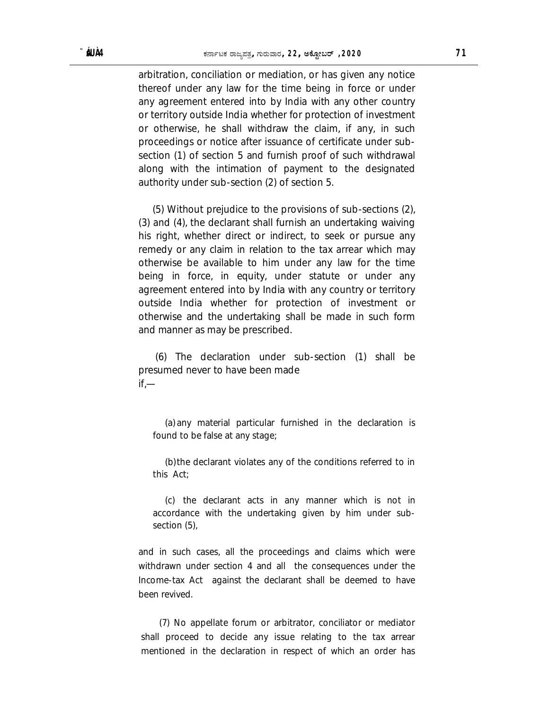arbitration, conciliation or mediation, or has given any notice thereof under any law for the time being in force or under any agreement entered into by India with any other country or territory outside India whether for protection of investment or otherwise, he shall withdraw the claim, if any, in such proceedings or notice after issuance of certificate under subsection (1) of section 5 and furnish proof of such withdrawal along with the intimation of payment to the designated authority under sub-section (2) of section 5.

 (5) Without prejudice to the provisions of sub-sections (2), (3) and (4), the declarant shall furnish an undertaking waiving his right, whether direct or indirect, to seek or pursue any remedy or any claim in relation to the tax arrear which may otherwise be available to him under any law for the time being in force, in equity, under statute or under any agreement entered into by India with any country or territory outside India whether for protection of investment or otherwise and the undertaking shall be made in such form and manner as may be prescribed.

 (6) The declaration under sub-section (1) shall be presumed never to have been made  $if -$ 

(a) any material particular furnished in the declaration is found to be false at any stage;

(b)the declarant violates any of the conditions referred to in this Act;

(c) the declarant acts in any manner which is not in accordance with the undertaking given by him under subsection (5),

and in such cases, all the proceedings and claims which were withdrawn under section 4 and all the consequences under the Income-tax Act against the declarant shall be deemed to have been revived.

(7) No appellate forum or arbitrator, conciliator or mediator shall proceed to decide any issue relating to the tax arrear mentioned in the declaration in respect of which an order has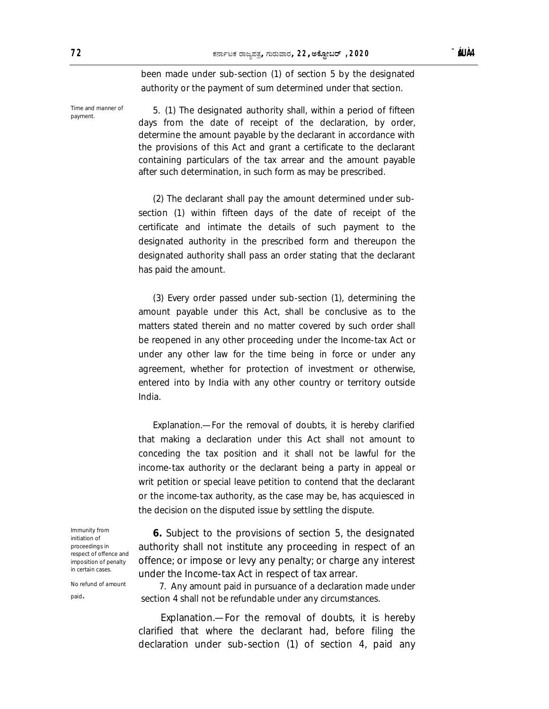been made under sub-section (1) of section 5 by the designated authority or the payment of sum determined under that section.

5. (1) The designated authority shall, within a period of fifteen days from the date of receipt of the declaration, by order, determine the amount payable by the declarant in accordance with the provisions of this Act and grant a certificate to the declarant containing particulars of the tax arrear and the amount payable after such determination, in such form as may be prescribed.

(2) The declarant shall pay the amount determined under subsection (1) within fifteen days of the date of receipt of the certificate and intimate the details of such payment to the designated authority in the prescribed form and thereupon the designated authority shall pass an order stating that the declarant has paid the amount.

(3) Every order passed under sub-section (1), determining the amount payable under this Act, shall be conclusive as to the matters stated therein and no matter covered by such order shall be reopened in any other proceeding under the Income-tax Act or under any other law for the time being in force or under any agreement, whether for protection of investment or otherwise, entered into by India with any other country or territory outside India.

Explanation.—For the removal of doubts, it is hereby clarified that making a declaration under this Act shall not amount to conceding the tax position and it shall not be lawful for the income-tax authority or the declarant being a party in appeal or writ petition or special leave petition to contend that the declarant or the income-tax authority, as the case may be, has acquiesced in the decision on the disputed issue by settling the dispute.

Immunity from initiation of proceedings in respect of offence and imposition of penalty in certain cases.

No refund of amount

paid.

offence; or impose or levy any penalty; or charge any interest under the Income-tax Act in respect of tax arrear. 7. Any amount paid in pursuance of a declaration made under section 4 shall not be refundable under any circumstances.

**6.** Subject to the provisions of section 5, the designated authority shall not institute any proceeding in respect of an

 Explanation.—For the removal of doubts, it is hereby clarified that where the declarant had, before filing the declaration under sub-section (1) of section 4, paid any

Time and manner of payment.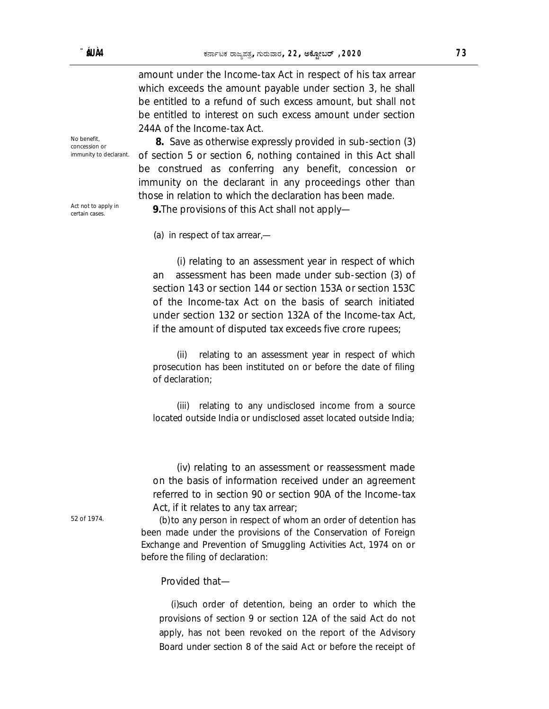amount under the Income-tax Act in respect of his tax arrear which exceeds the amount payable under section 3, he shall be entitled to a refund of such excess amount, but shall not be entitled to interest on such excess amount under section 244A of the Income-tax Act.

No benefit, concession or immunity to declarant.

Act not to apply in

 **8.** Save as otherwise expressly provided in sub-section (3) of section 5 or section 6, nothing contained in this Act shall be construed as conferring any benefit, concession or immunity on the declarant in any proceedings other than those in relation to which the declaration has been made.

Act not to apply in **9.**The provisions of this Act shall not apply—

(a) in respect of tax arrear,—

(i) relating to an assessment year in respect of which an assessment has been made under sub-section (3) of section 143 or section 144 or section 153A or section 153C of the Income-tax Act on the basis of search initiated under section 132 or section 132A of the Income-tax Act, if the amount of disputed tax exceeds five crore rupees;

(ii) relating to an assessment year in respect of which prosecution has been instituted on or before the date of filing of declaration;

(iii) relating to any undisclosed income from a source located outside India or undisclosed asset located outside India;

(iv) relating to an assessment or reassessment made on the basis of information received under an agreement referred to in section 90 or section 90A of the Income-tax Act, if it relates to any tax arrear;

52 of 1974. (b)to any person in respect of whom an order of detention has been made under the provisions of the Conservation of Foreign Exchange and Prevention of Smuggling Activities Act, 1974 on or before the filing of declaration:

Provided that—

(i)such order of detention, being an order to which the provisions of section 9 or section 12A of the said Act do not apply, has not been revoked on the report of the Advisory Board under section 8 of the said Act or before the receipt of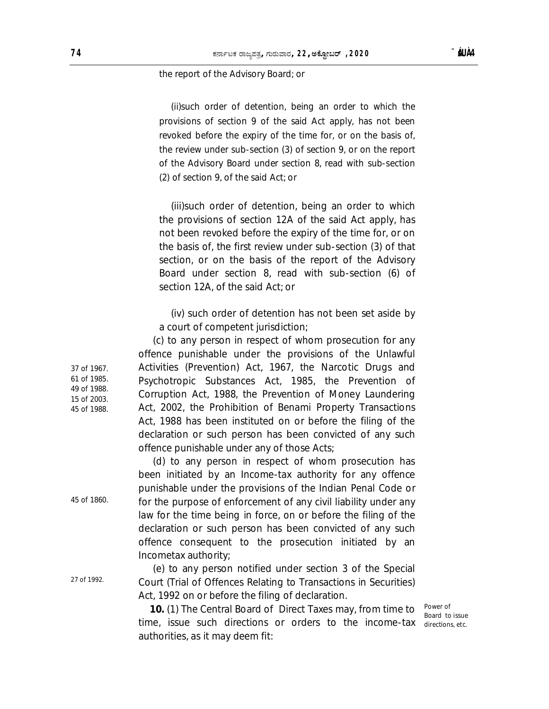#### the report of the Advisory Board; or

(ii)such order of detention, being an order to which the provisions of section 9 of the said Act apply, has not been revoked before the expiry of the time for, or on the basis of, the review under sub-section (3) of section 9, or on the report of the Advisory Board under section 8, read with sub-section (2) of section 9, of the said Act; or

(iii)such order of detention, being an order to which the provisions of section 12A of the said Act apply, has not been revoked before the expiry of the time for, or on the basis of, the first review under sub-section (3) of that section, or on the basis of the report of the Advisory Board under section 8, read with sub-section (6) of section 12A, of the said Act; or

(iv) such order of detention has not been set aside by a court of competent jurisdiction;

(c) to any person in respect of whom prosecution for any offence punishable under the provisions of the Unlawful Activities (Prevention) Act, 1967, the Narcotic Drugs and Psychotropic Substances Act, 1985, the Prevention of Corruption Act, 1988, the Prevention of Money Laundering Act, 2002, the Prohibition of Benami Property Transactions Act, 1988 has been instituted on or before the filing of the declaration or such person has been convicted of any such offence punishable under any of those Acts;

(d) to any person in respect of whom prosecution has been initiated by an Income-tax authority for any offence punishable under the provisions of the Indian Penal Code or for the purpose of enforcement of any civil liability under any law for the time being in force, on or before the filing of the declaration or such person has been convicted of any such offence consequent to the prosecution initiated by an Incometax authority;

(e) to any person notified under section 3 of the Special Court (Trial of Offences Relating to Transactions in Securities) Act, 1992 on or before the filing of declaration.

 **10.** (1) The Central Board of Direct Taxes may, from time to time, issue such directions or orders to the income-tax authorities, as it may deem fit:

Power of Board to issue directions, etc.

15 of 2003. 45 of 1988.

37 of 1967. 61 of 1985. 49 of 1988.

45 of 1860.

27 of 1992.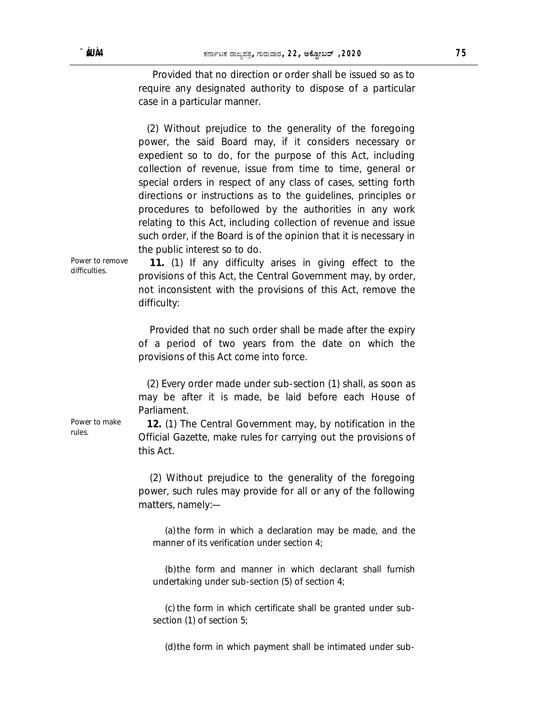Provided that no direction or order shall be issued so as to require any designated authority to dispose of a particular case in a particular manner.

 (2) Without prejudice to the generality of the foregoing power, the said Board may, if it considers necessary or expedient so to do, for the purpose of this Act, including collection of revenue, issue from time to time, general or special orders in respect of any class of cases, setting forth directions or instructions as to the guidelines, principles or procedures to befollowed by the authorities in any work relating to this Act, including collection of revenue and issue such order, if the Board is of the opinion that it is necessary in the public interest so to do.

Power to remove difficulties.

 **11.** (1) If any difficulty arises in giving effect to the provisions of this Act, the Central Government may, by order, not inconsistent with the provisions of this Act, remove the difficulty:

 Provided that no such order shall be made after the expiry of a period of two years from the date on which the provisions of this Act come into force.

 (2) Every order made under sub-section (1) shall, as soon as may be after it is made, be laid before each House of Parliament.

 **12.** (1) The Central Government may, by notification in the Official Gazette, make rules for carrying out the provisions of this Act.

 (2) Without prejudice to the generality of the foregoing power, such rules may provide for all or any of the following matters, namely:—

(a)the form in which a declaration may be made, and the manner of its verification under section 4;

(b)the form and manner in which declarant shall furnish undertaking under sub-section (5) of section 4;

(c) the form in which certificate shall be granted under subsection (1) of section 5;

(d)the form in which payment shall be intimated under sub-

Power to make rules.